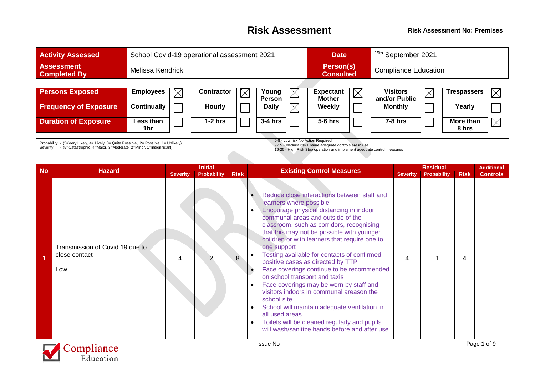## **Risk Assessment Risk Assessment No: Premises**

| <b>Activity Assessed</b>                                                                                                                                                  | School Covid-19 operational assessment 2021                                                                                                                               |                   |             |                        |             | <b>Date</b>                       |             | <sup>19th</sup> September 2021   |             |                    |          |  |
|---------------------------------------------------------------------------------------------------------------------------------------------------------------------------|---------------------------------------------------------------------------------------------------------------------------------------------------------------------------|-------------------|-------------|------------------------|-------------|-----------------------------------|-------------|----------------------------------|-------------|--------------------|----------|--|
| <b>Assessment</b><br><b>Completed By</b>                                                                                                                                  | Melissa Kendrick                                                                                                                                                          |                   |             |                        |             | Person(s)<br><b>Consulted</b>     |             | <b>Compliance Education</b>      |             |                    |          |  |
|                                                                                                                                                                           |                                                                                                                                                                           |                   |             |                        |             |                                   |             |                                  |             |                    |          |  |
| <b>Persons Exposed</b>                                                                                                                                                    | <b>Employees</b><br>$\times$                                                                                                                                              | <b>Contractor</b> | $\boxtimes$ | Young<br><b>Person</b> | $\boxtimes$ | <b>Expectant</b><br><b>Mother</b> | $\boxtimes$ | <b>Visitors</b><br>and/or Public | $\boxtimes$ | <b>Trespassers</b> |          |  |
| <b>Frequency of Exposure</b>                                                                                                                                              | <b>Continually</b>                                                                                                                                                        | <b>Hourly</b>     |             | <b>Daily</b>           | $\boxtimes$ | Weekly                            |             | <b>Monthly</b>                   |             | Yearly             |          |  |
| <b>Duration of Exposure</b>                                                                                                                                               | Less than<br>1hr                                                                                                                                                          | $1-2$ hrs         |             | $3-4$ hrs              |             | 5-6 hrs                           |             | $7-8$ hrs                        |             | More than<br>8 hrs | $\times$ |  |
| Probability<br>- (5=Very Likely, 4= Likely, 3= Quite Possible, 2= Possible, 1= Unlikely)<br>- (5=Catastrophic, 4=Major, 3=Moderate, 2=Minor, 1=Insignificant)<br>Severity | 0-8 - Low risk No Action Required.<br>9-15 - Medium risk Ensure adequate controls are in use.<br>16-25 - High Risk Stop operation and implement adequate control measures |                   |             |                        |             |                                   |             |                                  |             |                    |          |  |

| <b>No</b> |                                                         |                 | <b>Initial</b>     |             |                                                                                                                                                                                                                                                                                                                                                                                                                                                                                                                                                                                                                                                                                                                                                                           |                 | <b>Residual</b>    |             | <b>Additional</b> |
|-----------|---------------------------------------------------------|-----------------|--------------------|-------------|---------------------------------------------------------------------------------------------------------------------------------------------------------------------------------------------------------------------------------------------------------------------------------------------------------------------------------------------------------------------------------------------------------------------------------------------------------------------------------------------------------------------------------------------------------------------------------------------------------------------------------------------------------------------------------------------------------------------------------------------------------------------------|-----------------|--------------------|-------------|-------------------|
|           | <b>Hazard</b>                                           | <b>Severity</b> | <b>Probability</b> | <b>Risk</b> | <b>Existing Control Measures</b>                                                                                                                                                                                                                                                                                                                                                                                                                                                                                                                                                                                                                                                                                                                                          | <b>Severity</b> | <b>Probability</b> | <b>Risk</b> | <b>Controls</b>   |
|           | Transmission of Covid 19 due to<br>close contact<br>Low | 4               |                    | 8           | Reduce close interactions between staff and<br>learners where possible<br>Encourage physical distancing in indoor<br>communal areas and outside of the<br>classroom, such as corridors, recognising<br>that this may not be possible with younger<br>children or with learners that require one to<br>one support<br>Testing available for contacts of confirmed<br>positive cases as directed by TTP<br>Face coverings continue to be recommended<br>on school transport and taxis<br>Face coverings may be worn by staff and<br>visitors indoors in communal areason the<br>school site<br>School will maintain adequate ventilation in<br>all used areas<br>Toilets will be cleaned regularly and pupils<br>$\bullet$<br>will wash/sanitize hands before and after use | 4               |                    | 4           |                   |
|           | $C_{\text{max}}1$ and $\epsilon$                        |                 |                    |             | <b>Issue No</b>                                                                                                                                                                                                                                                                                                                                                                                                                                                                                                                                                                                                                                                                                                                                                           |                 |                    |             | Page 1 of 9       |

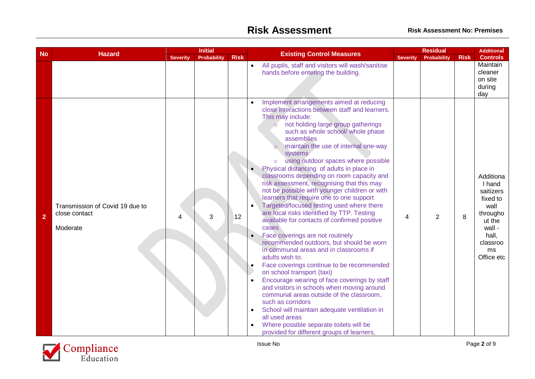| <b>No</b>               | <b>Hazard</b>                                                |                 | <b>Initial</b>     |             | <b>Residual</b>                                                                                                                                                                                                                                                                                                                                                                                                                                                                                                                                                                                                                                                                                                                                                                                                                                                                                                                                                                                                                                                                                                                                                                                                                                |             | <b>Additional</b>                                                                                                             |
|-------------------------|--------------------------------------------------------------|-----------------|--------------------|-------------|------------------------------------------------------------------------------------------------------------------------------------------------------------------------------------------------------------------------------------------------------------------------------------------------------------------------------------------------------------------------------------------------------------------------------------------------------------------------------------------------------------------------------------------------------------------------------------------------------------------------------------------------------------------------------------------------------------------------------------------------------------------------------------------------------------------------------------------------------------------------------------------------------------------------------------------------------------------------------------------------------------------------------------------------------------------------------------------------------------------------------------------------------------------------------------------------------------------------------------------------|-------------|-------------------------------------------------------------------------------------------------------------------------------|
|                         |                                                              | <b>Severity</b> | <b>Probability</b> | <b>Risk</b> | <b>Existing Control Measures</b><br><b>Severity</b><br>Probability                                                                                                                                                                                                                                                                                                                                                                                                                                                                                                                                                                                                                                                                                                                                                                                                                                                                                                                                                                                                                                                                                                                                                                             | <b>Risk</b> | <b>Controls</b>                                                                                                               |
|                         |                                                              |                 |                    |             | All pupils, staff and visitors will wash/sanitise<br>$\bullet$<br>hands before entering the building.<br>Implement arrangements aimed at reducing                                                                                                                                                                                                                                                                                                                                                                                                                                                                                                                                                                                                                                                                                                                                                                                                                                                                                                                                                                                                                                                                                              |             | Maintain<br>cleaner<br>on site<br>during<br>day                                                                               |
| $\overline{\mathbf{2}}$ | Transmission of Covid 19 due to<br>close contact<br>Moderate | 4               | 3                  | 12          | close interactions between staff and learners.<br>This may include:<br>not holding large group gatherings<br>$\circ$<br>such as whole school/ whole phase<br>assemblies<br>maintain the use of internal one-way<br>systems<br>using outdoor spaces where possible<br>$\circ$<br>Physical distancing of adults in place in<br>classrooms depending on room capacity and<br>risk assessment, recognising that this may<br>not be possible with younger children or with<br>learners that require one to one support<br>Targeted/focused testing used where there<br>are local risks identified by TTP. Testing<br>$\overline{2}$<br>4<br>available for contacts of confirmed positive<br>cases<br>Face coverings are not routinely<br>recommended outdoors, but should be worn<br>in communal areas and in classrooms if<br>adults wish to.<br>Face coverings continue to be recommended<br>on school transport (taxi)<br>Encourage wearing of face coverings by staff<br>and visitors in schools when moving around<br>communal areas outside of the classroom,<br>such as corridors<br>School will maintain adequate ventilation in<br>all used areas<br>Where possible separate toilets will be<br>provided for different groups of learners, | 8           | Additiona<br>I hand<br>saitizers<br>fixed to<br>wall<br>througho<br>ut the<br>wall -<br>hall,<br>classroo<br>ms<br>Office etc |

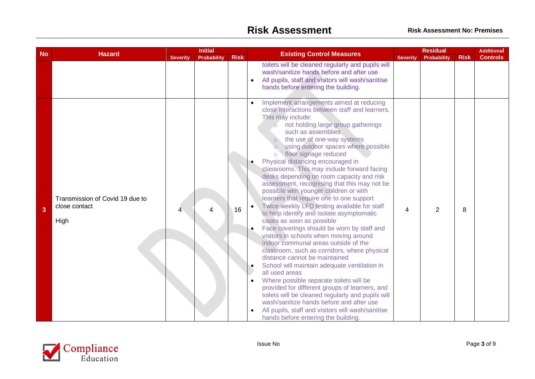|           | <b>Hazard</b>                                            |                 | <b>Initial</b>     |             | <b>Existing Control Measures</b>                                                                                                                                                                                                                                                                                                                                                                                                                                                                                                                                                                                                                                                                                                                                                                                                                                                                                                                                                                                                                                                                                                                                                                                         |                 | <b>Residual</b>    |             |                 |
|-----------|----------------------------------------------------------|-----------------|--------------------|-------------|--------------------------------------------------------------------------------------------------------------------------------------------------------------------------------------------------------------------------------------------------------------------------------------------------------------------------------------------------------------------------------------------------------------------------------------------------------------------------------------------------------------------------------------------------------------------------------------------------------------------------------------------------------------------------------------------------------------------------------------------------------------------------------------------------------------------------------------------------------------------------------------------------------------------------------------------------------------------------------------------------------------------------------------------------------------------------------------------------------------------------------------------------------------------------------------------------------------------------|-----------------|--------------------|-------------|-----------------|
| <b>No</b> |                                                          | <b>Severity</b> | <b>Probability</b> | <b>Risk</b> |                                                                                                                                                                                                                                                                                                                                                                                                                                                                                                                                                                                                                                                                                                                                                                                                                                                                                                                                                                                                                                                                                                                                                                                                                          | <b>Severity</b> | <b>Probability</b> | <b>Risk</b> | <b>Controls</b> |
|           |                                                          |                 |                    |             | toilets will be cleaned regularly and pupils will<br>wash/sanitize hands before and after use<br>All pupils, staff and visitors will wash/sanitise<br>hands before entering the building.<br>Implement arrangements aimed at reducing                                                                                                                                                                                                                                                                                                                                                                                                                                                                                                                                                                                                                                                                                                                                                                                                                                                                                                                                                                                    |                 |                    |             |                 |
| 3         | Transmission of Covid 19 due to<br>close contact<br>High |                 | 4                  | 16          | close interactions between staff and learners.<br>This may include:<br>o not holding large group gatherings<br>such as assemblies<br>the use of one-way systems<br>using outdoor spaces where possible<br>floor signage reduced<br>$\circ$<br>Physical distancing encouraged in<br>classrooms. This may include forward facing<br>desks depending on room capacity and risk<br>assessment, recognising that this may not be<br>possible with younger children or with<br>learners that require one to one support<br>Twice weekly LFD testing available for staff<br>to help identify and isolate asymptomatic<br>cases as soon as possible<br>Face coverings should be worn by staff and<br>visitors in schools when moving around<br>indoor communal areas outside of the<br>classroom, such as corridors, where physical<br>distance cannot be maintained<br>School will maintain adequate ventilation in<br>all used areas<br>Where possible separate toilets will be<br>provided for different groups of learners, and<br>toilets will be cleaned regularly and pupils will<br>wash/sanitize hands before and after use<br>All pupils, staff and visitors will wash/sanitise<br>hands before entering the building. | 4               | $\overline{2}$     | 8           |                 |

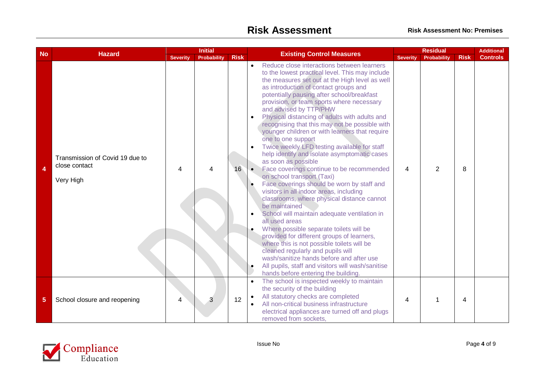| <b>No</b> |                                                               |                 | <b>Initial</b>     |             |                        |                                                                                                                                                                                                                                                                                                                                                                                                                                                                                                                                                                                                                                                                                                                                                                                                                                                                                                                                                                                                                                                                                                                                                                                                                                          |                 | <b>Residual</b>    |             | <b>Additional</b> |
|-----------|---------------------------------------------------------------|-----------------|--------------------|-------------|------------------------|------------------------------------------------------------------------------------------------------------------------------------------------------------------------------------------------------------------------------------------------------------------------------------------------------------------------------------------------------------------------------------------------------------------------------------------------------------------------------------------------------------------------------------------------------------------------------------------------------------------------------------------------------------------------------------------------------------------------------------------------------------------------------------------------------------------------------------------------------------------------------------------------------------------------------------------------------------------------------------------------------------------------------------------------------------------------------------------------------------------------------------------------------------------------------------------------------------------------------------------|-----------------|--------------------|-------------|-------------------|
|           | <b>Hazard</b>                                                 | <b>Severity</b> | <b>Probability</b> | <b>Risk</b> |                        | <b>Existing Control Measures</b>                                                                                                                                                                                                                                                                                                                                                                                                                                                                                                                                                                                                                                                                                                                                                                                                                                                                                                                                                                                                                                                                                                                                                                                                         | <b>Severity</b> | <b>Probability</b> | <b>Risk</b> | <b>Controls</b>   |
| 4         | Transmission of Covid 19 due to<br>close contact<br>Very High | Δ               |                    | 16          | $\bullet$<br>$\bullet$ | Reduce close interactions between learners<br>to the lowest practical level. This may include<br>the measures set out at the High level as well<br>as introduction of contact groups and<br>potentially pausing after school/breakfast<br>provision, or team sports where necessary<br>and advised by TTP/PHW<br>Physical distancing of adults with adults and<br>recognising that this may not be possible with<br>younger children or with learners that require<br>one to one support<br>Twice weekly LFD testing available for staff<br>help identify and isolate asymptomatic cases<br>as soon as possible<br>Face coverings continue to be recommended<br>on school transport (Taxi)<br>Face coverings should be worn by staff and<br>visitors in all indoor areas, including<br>classrooms, where physical distance cannot<br>be maintained<br>School will maintain adequate ventilation in<br>all used areas<br>Where possible separate toilets will be<br>provided for different groups of learners,<br>where this is not possible toilets will be<br>cleaned regularly and pupils will<br>wash/sanitize hands before and after use<br>All pupils, staff and visitors will wash/sanitise<br>hands before entering the building. | 4               | $\overline{2}$     | 8           |                   |
| 5         | School closure and reopening                                  | 4               | 3                  | 12          | $\bullet$              | The school is inspected weekly to maintain<br>the security of the building<br>All statutory checks are completed<br>All non-critical business infrastructure<br>electrical appliances are turned off and plugs<br>removed from sockets.                                                                                                                                                                                                                                                                                                                                                                                                                                                                                                                                                                                                                                                                                                                                                                                                                                                                                                                                                                                                  | 4               | 1                  | 4           |                   |

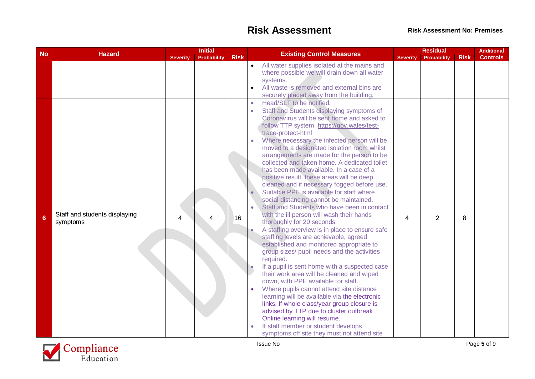|           | <b>Hazard</b>                             |                 | <b>Initial</b>     |             | <b>Existing Control Measures</b> |                                                                                                                                                                                                                                                                                                                                                                                                                                                                                                                                                                                                                                                                                                                                                                                                                                                                                                                                                                                                                                                                                                                                                                                                                                                                                                                                                                       |                 | <b>Residual</b>    |             | <b>Additional</b> |
|-----------|-------------------------------------------|-----------------|--------------------|-------------|----------------------------------|-----------------------------------------------------------------------------------------------------------------------------------------------------------------------------------------------------------------------------------------------------------------------------------------------------------------------------------------------------------------------------------------------------------------------------------------------------------------------------------------------------------------------------------------------------------------------------------------------------------------------------------------------------------------------------------------------------------------------------------------------------------------------------------------------------------------------------------------------------------------------------------------------------------------------------------------------------------------------------------------------------------------------------------------------------------------------------------------------------------------------------------------------------------------------------------------------------------------------------------------------------------------------------------------------------------------------------------------------------------------------|-----------------|--------------------|-------------|-------------------|
| <b>No</b> |                                           | <b>Severity</b> | <b>Probability</b> | <b>Risk</b> |                                  |                                                                                                                                                                                                                                                                                                                                                                                                                                                                                                                                                                                                                                                                                                                                                                                                                                                                                                                                                                                                                                                                                                                                                                                                                                                                                                                                                                       | <b>Severity</b> | <b>Probability</b> | <b>Risk</b> | <b>Controls</b>   |
|           |                                           |                 |                    |             | $\bullet$<br>$\bullet$           | All water supplies isolated at the mains and<br>where possible we will drain down all water<br>systems.<br>All waste is removed and external bins are<br>securely placed away from the building.<br>Head/SLT to be notified.                                                                                                                                                                                                                                                                                                                                                                                                                                                                                                                                                                                                                                                                                                                                                                                                                                                                                                                                                                                                                                                                                                                                          |                 |                    |             |                   |
| 6         | Staff and students displaying<br>symptoms | 4               |                    | 16          | $\bullet$<br>$\bullet$           | Staff and Students displaying symptoms of<br>Coronavirus will be sent home and asked to<br>follow TTP system. https://gov.wales/test-<br>trace-protect-html<br>Where necessary the infected person will be<br>moved to a designated isolation room whilst<br>arrangements are made for the person to be<br>collected and taken home. A dedicated toilet<br>has been made available. In a case of a<br>positive result, these areas will be deep<br>cleaned and if necessary fogged before use.<br>Suitable PPE is available for staff where<br>social distancing cannot be maintained.<br>Staff and Students who have been in contact<br>with the ill person will wash their hands<br>thoroughly for 20 seconds.<br>A staffing overview is in place to ensure safe<br>staffing levels are achievable, agreed<br>established and monitored appropriate to<br>group sizes/ pupil needs and the activities<br>required.<br>If a pupil is sent home with a suspected case<br>their work area will be cleaned and wiped<br>down, with PPE available for staff.<br>Where pupils cannot attend site distance<br>learning will be available via the electronic<br>links. If whole class/year group closure is<br>advised by TTP due to cluster outbreak<br>Online learning will resume.<br>If staff member or student develops<br>symptoms off site they must not attend site | 4               | $\overline{2}$     | 8           |                   |

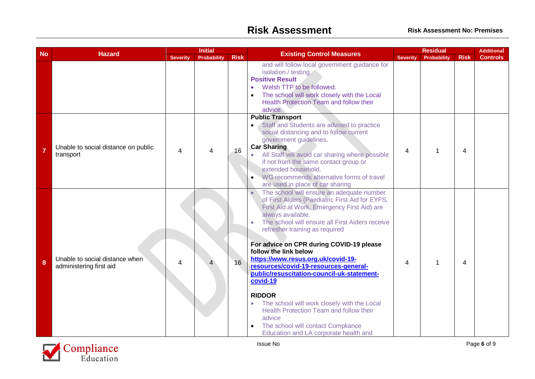## **Risk Assessment Risk Assessment No: Premises**

|                |                                                           |                 | <b>Initial</b>     |             |                                                                                                                                                                                                                                                                                                                                                                                                                                                                                                                                                                                                                                                                         | <b>Residual</b>         |             |                | <b>Additional</b> |
|----------------|-----------------------------------------------------------|-----------------|--------------------|-------------|-------------------------------------------------------------------------------------------------------------------------------------------------------------------------------------------------------------------------------------------------------------------------------------------------------------------------------------------------------------------------------------------------------------------------------------------------------------------------------------------------------------------------------------------------------------------------------------------------------------------------------------------------------------------------|-------------------------|-------------|----------------|-------------------|
| <b>No</b>      | <b>Hazard</b>                                             | <b>Severity</b> | <b>Probability</b> | <b>Risk</b> | <b>Existing Control Measures</b>                                                                                                                                                                                                                                                                                                                                                                                                                                                                                                                                                                                                                                        | <b>Severity</b>         | Probability | <b>Risk</b>    | <b>Controls</b>   |
|                |                                                           |                 |                    |             | and will follow local government guidance for<br>isolation / testing.<br><b>Positive Result</b><br>Welsh TTP to be followed.<br>The school will work closely with the Local<br>Health Protection Team and follow their<br>advice.                                                                                                                                                                                                                                                                                                                                                                                                                                       |                         |             |                |                   |
| $\overline{7}$ | Unable to social distance on public<br>transport          | 4               | $\overline{4}$     | 16          | <b>Public Transport</b><br>Staff and Students are advised to practice<br>$\bullet$<br>social distancing and to follow current<br>government guidelines.<br><b>Car Sharing</b><br>All Staff will avoid car sharing where possible<br>if not from the same contact group or<br>extended household.<br>WG recommends alternative forms of travel<br>are used in place of car sharing                                                                                                                                                                                                                                                                                       | $\overline{\mathbf{4}}$ | 1           | $\overline{4}$ |                   |
| 8              | Unable to social distance when<br>administering first aid | 4               |                    | 16          | The school will ensure an adequate number<br>of First Aiders (Paediatric First Aid for EYFS,<br>First Aid at Work, Emergency First Aid) are<br>always available.<br>The school will ensure all First Aiders receive<br>refresher training as required<br>For advice on CPR during COVID-19 please<br>follow the link below<br>https://www.resus.org.uk/covid-19-<br>resources/covid-19-resources-general-<br>public/resuscitation-council-uk-statement-<br>covid-19<br><b>RIDDOR</b><br>The school will work closely with the Local<br>Health Protection Team and follow their<br>advice<br>The school will contact Compliance<br>Education and LA corporate health and | 4                       |             | 4              |                   |

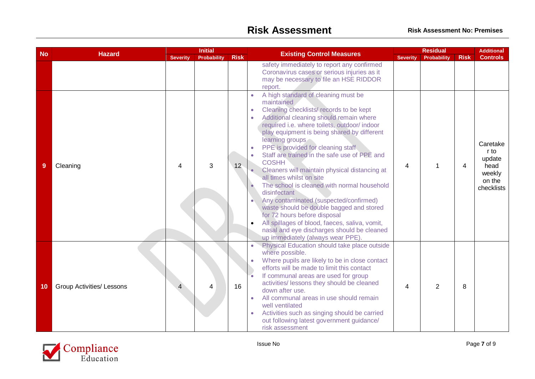|           |                                  |                 | <b>Initial</b>     |                 |                                                                                                                                                                                                                                                                                                                                                                                                                                                                                                                                                                                                                                                                                                                                                                                    | <b>Residual</b>          |             |             | <b>Additional</b>                                                    |
|-----------|----------------------------------|-----------------|--------------------|-----------------|------------------------------------------------------------------------------------------------------------------------------------------------------------------------------------------------------------------------------------------------------------------------------------------------------------------------------------------------------------------------------------------------------------------------------------------------------------------------------------------------------------------------------------------------------------------------------------------------------------------------------------------------------------------------------------------------------------------------------------------------------------------------------------|--------------------------|-------------|-------------|----------------------------------------------------------------------|
| <b>No</b> | <b>Hazard</b>                    | <b>Severity</b> | <b>Probability</b> | <b>Risk</b>     | <b>Existing Control Measures</b>                                                                                                                                                                                                                                                                                                                                                                                                                                                                                                                                                                                                                                                                                                                                                   | <b>Severity</b>          | Probability | <b>Risk</b> | <b>Controls</b>                                                      |
|           |                                  |                 |                    |                 | safety immediately to report any confirmed<br>Coronavirus cases or serious injuries as it<br>may be necessary to file an HSE RIDDOR<br>report.                                                                                                                                                                                                                                                                                                                                                                                                                                                                                                                                                                                                                                     |                          |             |             |                                                                      |
| 9         | Cleaning                         | 4               | 3                  | 12 <sub>1</sub> | A high standard of cleaning must be<br>maintained<br>Cleaning checklists/records to be kept<br>Additional cleaning should remain where<br>required i.e. where toilets, outdoor/indoor<br>play equipment is being shared by different<br>learning groups<br>PPE is provided for cleaning staff.<br>Staff are trained in the safe use of PPE and<br>$\bullet$<br><b>COSHH</b><br>Cleaners will maintain physical distancing at<br>all times whilst on site<br>The school is cleaned with normal household<br>disinfectant<br>Any contaminated (suspected/confirmed)<br>waste should be double bagged and stored<br>for 72 hours before disposal<br>All spillages of blood, faeces, saliva, vomit,<br>nasal and eye discharges should be cleaned<br>up immediately (always wear PPE). | 4                        |             | 4           | Caretake<br>r to<br>update<br>head<br>weekly<br>on the<br>checklists |
| 10        | <b>Group Activities/ Lessons</b> |                 | 4                  | 16              | Physical Education should take place outside<br>where possible.<br>Where pupils are likely to be in close contact<br>efforts will be made to limit this contact<br>If communal areas are used for group<br>activities/ lessons they should be cleaned<br>down after use.<br>All communal areas in use should remain<br>well ventilated<br>Activities such as singing should be carried<br>out following latest government guidance/<br>risk assessment                                                                                                                                                                                                                                                                                                                             | $\overline{\mathcal{A}}$ | 2           | 8           |                                                                      |

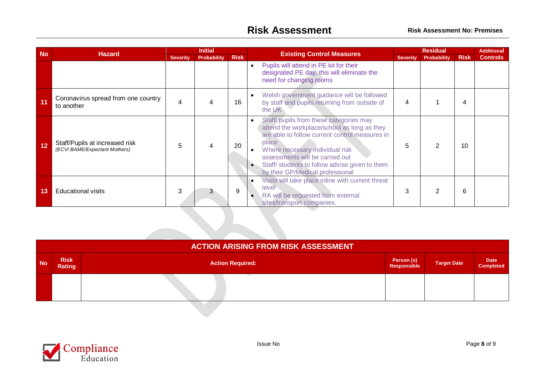| <b>No</b> |                                                                |                 | <b>Initial</b>     |             |                                                                                                                                                                                                                                                                                                                                           |                 | <b>Residual</b>    |             | <b>Additional</b> |
|-----------|----------------------------------------------------------------|-----------------|--------------------|-------------|-------------------------------------------------------------------------------------------------------------------------------------------------------------------------------------------------------------------------------------------------------------------------------------------------------------------------------------------|-----------------|--------------------|-------------|-------------------|
|           | <b>Hazard</b>                                                  | <b>Severity</b> | <b>Probability</b> | <b>Risk</b> | <b>Existing Control Measures</b>                                                                                                                                                                                                                                                                                                          | <b>Severity</b> | <b>Probability</b> | <b>Risk</b> | <b>Controls</b>   |
|           |                                                                |                 |                    |             | Pupils will attend in PE kit for their<br>$\bullet$<br>designated PE day, this will eliminate the<br>need for changing rooms                                                                                                                                                                                                              |                 |                    |             |                   |
| 11        | Coronavirus spread from one country<br>to another              | 4               | 4                  | 16          | Welsh government guidance will be followed<br>by staff and pupils returning from outside of<br>the UK                                                                                                                                                                                                                                     | 4               |                    | 4           |                   |
| 12        | Staff/Pupils at increased risk<br>(ECV/BAME/Expectant Mothers) | 5               | 4                  | 20          | Staff/ pupils from these categories may<br>$\bullet$<br>attend the workplace/school as long as they<br>are able to follow current control measures in<br>place<br>Where necessary individual risk<br>assessments will be carried out<br>Staff/ students to follow advise given to them<br>$\bullet$ .<br>by their GP/Medical professional | 5               | っ                  | 10          |                   |
| 13        | <b>Educational visits</b>                                      | 3               | 3                  | 9           | Visits will take place inline with current threat<br>level<br>RA will be requested from external<br>sites/transport companies.                                                                                                                                                                                                            | 3               |                    | 6           |                   |
|           |                                                                |                 |                    |             |                                                                                                                                                                                                                                                                                                                                           |                 |                    |             |                   |

|           | <b>ACTION ARISING FROM RISK ASSESSMENT</b> |                         |                           |                    |                                 |  |  |  |  |  |  |  |
|-----------|--------------------------------------------|-------------------------|---------------------------|--------------------|---------------------------------|--|--|--|--|--|--|--|
| <b>No</b> | <b>Risk</b><br><b>Rating</b>               | <b>Action Required:</b> | Person (s)<br>Responsible | <b>Target Date</b> | <b>Date</b><br><b>Completed</b> |  |  |  |  |  |  |  |
|           |                                            |                         |                           |                    |                                 |  |  |  |  |  |  |  |